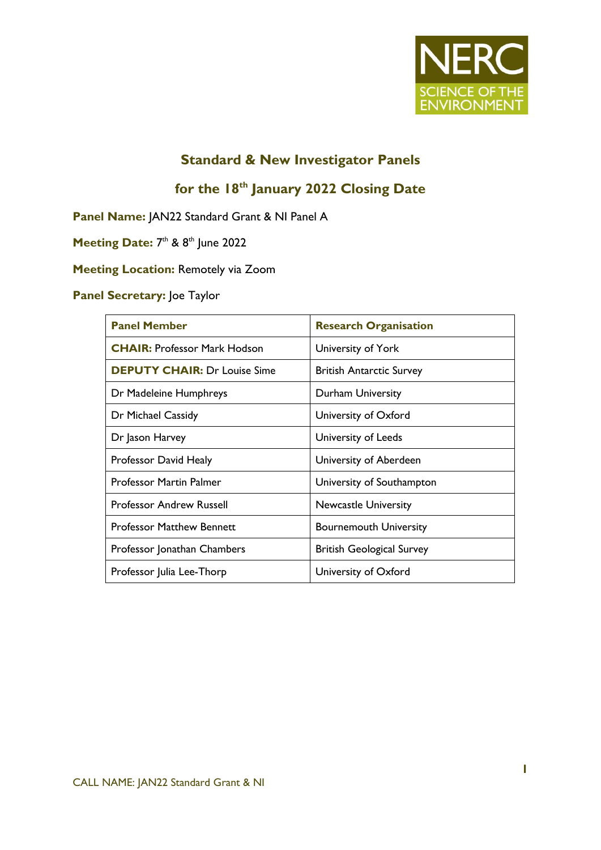

## **Standard & New Investigator Panels**

# **for the 18th January 2022 Closing Date**

**Panel Name:** JAN22 Standard Grant & NI Panel A

Meeting Date: 7<sup>th</sup> & 8<sup>th</sup> June 2022

**Meeting Location:** Remotely via Zoom

#### **Panel Secretary:** Joe Taylor

| <b>Panel Member</b>                 | <b>Research Organisation</b>     |
|-------------------------------------|----------------------------------|
| <b>CHAIR: Professor Mark Hodson</b> | University of York               |
| <b>DEPUTY CHAIR: Dr Louise Sime</b> | <b>British Antarctic Survey</b>  |
| Dr Madeleine Humphreys              | Durham University                |
| Dr Michael Cassidy                  | University of Oxford             |
| Dr Jason Harvey                     | University of Leeds              |
| Professor David Healy               | University of Aberdeen           |
| <b>Professor Martin Palmer</b>      | University of Southampton        |
| <b>Professor Andrew Russell</b>     | <b>Newcastle University</b>      |
| <b>Professor Matthew Bennett</b>    | <b>Bournemouth University</b>    |
| Professor Jonathan Chambers         | <b>British Geological Survey</b> |
| Professor Julia Lee-Thorp           | University of Oxford             |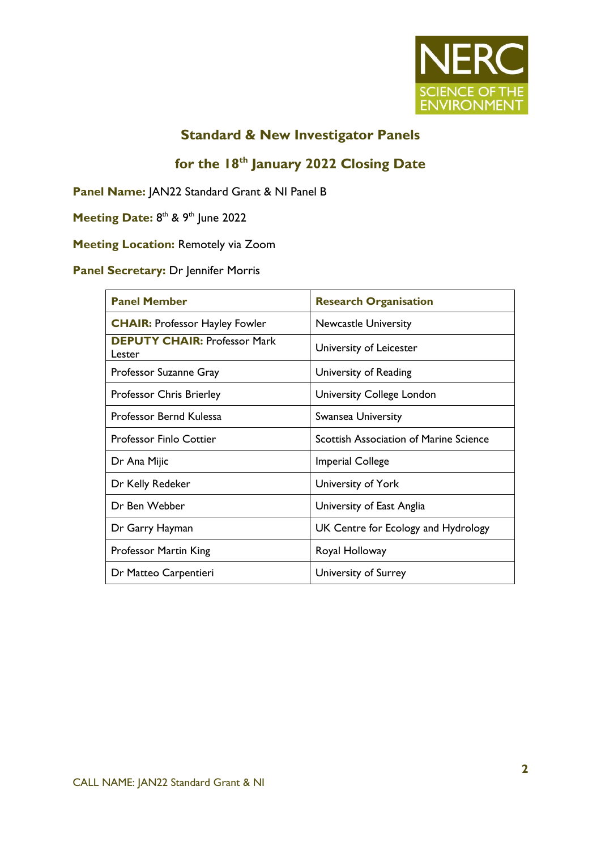

### **Standard & New Investigator Panels**

# **for the 18th January 2022 Closing Date**

**Panel Name:** JAN22 Standard Grant & NI Panel B

Meeting Date: 8<sup>th</sup> & 9<sup>th</sup> June 2022

## **Meeting Location:** Remotely via Zoom

#### **Panel Secretary:** Dr Jennifer Morris

| <b>Panel Member</b>                           | <b>Research Organisation</b>                  |
|-----------------------------------------------|-----------------------------------------------|
| <b>CHAIR: Professor Hayley Fowler</b>         | <b>Newcastle University</b>                   |
| <b>DEPUTY CHAIR: Professor Mark</b><br>Lester | University of Leicester                       |
| Professor Suzanne Gray                        | University of Reading                         |
| Professor Chris Brierley                      | University College London                     |
| Professor Bernd Kulessa                       | Swansea University                            |
| <b>Professor Finlo Cottier</b>                | <b>Scottish Association of Marine Science</b> |
| Dr Ana Mijic                                  | <b>Imperial College</b>                       |
| Dr Kelly Redeker                              | University of York                            |
| Dr Ben Webber                                 | University of East Anglia                     |
| Dr Garry Hayman                               | UK Centre for Ecology and Hydrology           |
| Professor Martin King                         | Royal Holloway                                |
| Dr Matteo Carpentieri                         | University of Surrey                          |